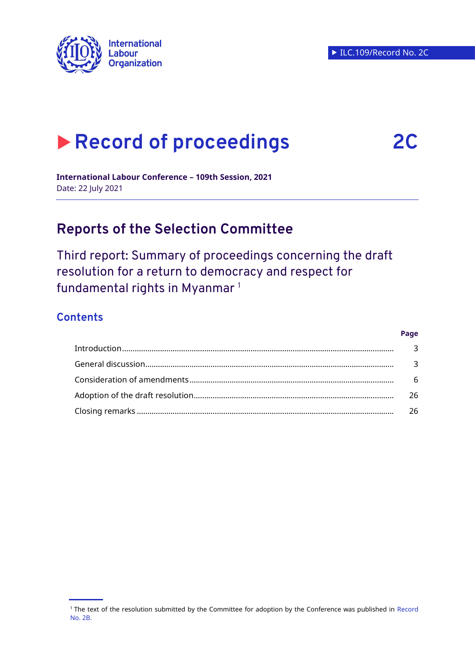

# **Record of proceedings 2C**

**Page**

**International Labour Conference – 109th Session, 2021**  Date: 22 July 2021

# **Reports of the Selection Committee**

Third report: Summary of proceedings concerning the draft resolution for a return to democracy and respect for fundamental rights in Myanmar <sup>1</sup>

# **Contents**

| - 6 |
|-----|
| 26  |
| -26 |

<sup>1</sup> The text of the resolution submitted by the Committee for adoption by the Conference was published in [Record](https://www.ilo.org/wcmsp5/groups/public/---ed_norm/---relconf/documents/meetingdocument/wcms_804319.pdf)  [No.](https://www.ilo.org/wcmsp5/groups/public/---ed_norm/---relconf/documents/meetingdocument/wcms_804319.pdf) 2B.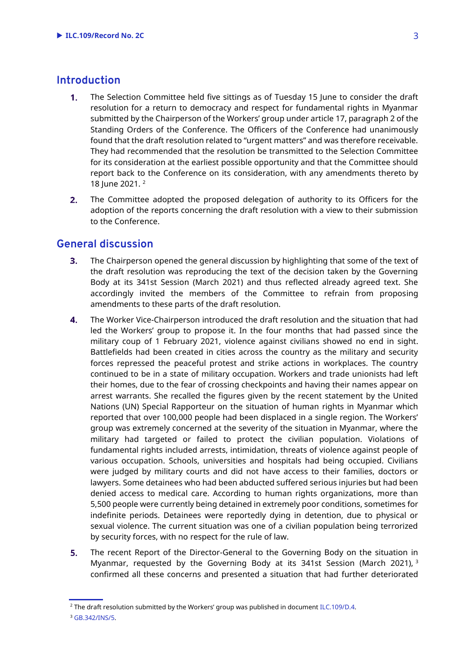# <span id="page-1-0"></span>**Introduction**

- $1<sub>1</sub>$ The Selection Committee held five sittings as of Tuesday 15 June to consider the draft resolution for a return to democracy and respect for fundamental rights in Myanmar submitted by the Chairperson of the Workers' group under article 17, paragraph 2 of the Standing Orders of the Conference. The Officers of the Conference had unanimously found that the draft resolution related to "urgent matters" and was therefore receivable. They had recommended that the resolution be transmitted to the Selection Committee for its consideration at the earliest possible opportunity and that the Committee should report back to the Conference on its consideration, with any amendments thereto by 18 June 2021. <sup>2</sup>
- $2.$ The Committee adopted the proposed delegation of authority to its Officers for the adoption of the reports concerning the draft resolution with a view to their submission to the Conference.

# <span id="page-1-1"></span>**General discussion**

- $3<sub>1</sub>$ The Chairperson opened the general discussion by highlighting that some of the text of the draft resolution was reproducing the text of the decision taken by the Governing Body at its 341st Session (March 2021) and thus reflected already agreed text. She accordingly invited the members of the Committee to refrain from proposing amendments to these parts of the draft resolution.
- $\overline{4}$ . The Worker Vice-Chairperson introduced the draft resolution and the situation that had led the Workers' group to propose it. In the four months that had passed since the military coup of 1 February 2021, violence against civilians showed no end in sight. Battlefields had been created in cities across the country as the military and security forces repressed the peaceful protest and strike actions in workplaces. The country continued to be in a state of military occupation. Workers and trade unionists had left their homes, due to the fear of crossing checkpoints and having their names appear on arrest warrants. She recalled the figures given by the recent statement by the United Nations (UN) Special Rapporteur on the situation of human rights in Myanmar which reported that over 100,000 people had been displaced in a single region. The Workers' group was extremely concerned at the severity of the situation in Myanmar, where the military had targeted or failed to protect the civilian population. Violations of fundamental rights included arrests, intimidation, threats of violence against people of various occupation. Schools, universities and hospitals had being occupied. Civilians were judged by military courts and did not have access to their families, doctors or lawyers. Some detainees who had been abducted suffered serious injuries but had been denied access to medical care. According to human rights organizations, more than 5,500 people were currently being detained in extremely poor conditions, sometimes for indefinite periods. Detainees were reportedly dying in detention, due to physical or sexual violence. The current situation was one of a civilian population being terrorized by security forces, with no respect for the rule of law.
- 5. The recent Report of the Director-General to the Governing Body on the situation in Myanmar, requested by the Governing Body at its 341st Session (March 2021),  $3$ confirmed all these concerns and presented a situation that had further deteriorated

<sup>&</sup>lt;sup>2</sup> The draft resolution submitted by the Workers' group was published in documen[t ILC.109/D.4.](https://www.ilo.org/wcmsp5/groups/public/---ed_norm/---relconf/documents/meetingdocument/wcms_801353.pdf)

<sup>3</sup> [GB.342/INS/5.](https://www.ilo.org/wcmsp5/groups/public/---ed_norm/---relconf/documents/meetingdocument/wcms_798678.pdf)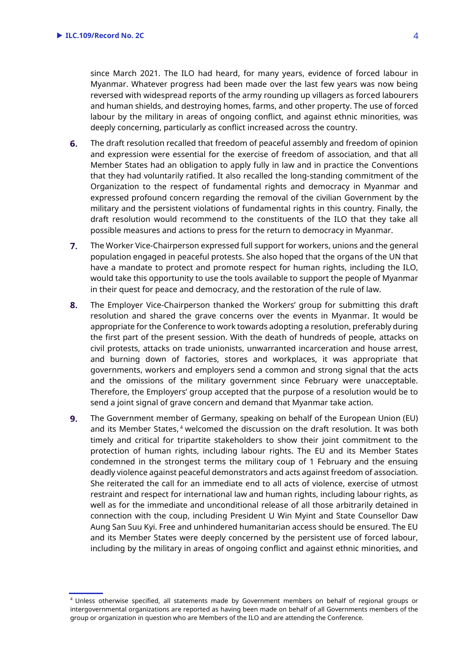since March 2021. The ILO had heard, for many years, evidence of forced labour in Myanmar. Whatever progress had been made over the last few years was now being reversed with widespread reports of the army rounding up villagers as forced labourers and human shields, and destroying homes, farms, and other property. The use of forced labour by the military in areas of ongoing conflict, and against ethnic minorities, was deeply concerning, particularly as conflict increased across the country.

- 6. The draft resolution recalled that freedom of peaceful assembly and freedom of opinion and expression were essential for the exercise of freedom of association, and that all Member States had an obligation to apply fully in law and in practice the Conventions that they had voluntarily ratified. It also recalled the long-standing commitment of the Organization to the respect of fundamental rights and democracy in Myanmar and expressed profound concern regarding the removal of the civilian Government by the military and the persistent violations of fundamental rights in this country. Finally, the draft resolution would recommend to the constituents of the ILO that they take all possible measures and actions to press for the return to democracy in Myanmar.
- $7.$ The Worker Vice-Chairperson expressed full support for workers, unions and the general population engaged in peaceful protests. She also hoped that the organs of the UN that have a mandate to protect and promote respect for human rights, including the ILO, would take this opportunity to use the tools available to support the people of Myanmar in their quest for peace and democracy, and the restoration of the rule of law.
- 8. The Employer Vice-Chairperson thanked the Workers' group for submitting this draft resolution and shared the grave concerns over the events in Myanmar. It would be appropriate for the Conference to work towards adopting a resolution, preferably during the first part of the present session. With the death of hundreds of people, attacks on civil protests, attacks on trade unionists, unwarranted incarceration and house arrest, and burning down of factories, stores and workplaces, it was appropriate that governments, workers and employers send a common and strong signal that the acts and the omissions of the military government since February were unacceptable. Therefore, the Employers' group accepted that the purpose of a resolution would be to send a joint signal of grave concern and demand that Myanmar take action.
- 9. The Government member of Germany, speaking on behalf of the European Union (EU) and its Member States, <sup>4</sup> welcomed the discussion on the draft resolution. It was both timely and critical for tripartite stakeholders to show their joint commitment to the protection of human rights, including labour rights. The EU and its Member States condemned in the strongest terms the military coup of 1 February and the ensuing deadly violence against peaceful demonstrators and acts against freedom of association. She reiterated the call for an immediate end to all acts of violence, exercise of utmost restraint and respect for international law and human rights, including labour rights, as well as for the immediate and unconditional release of all those arbitrarily detained in connection with the coup, including President U Win Myint and State Counsellor Daw Aung San Suu Kyi. Free and unhindered humanitarian access should be ensured. The EU and its Member States were deeply concerned by the persistent use of forced labour, including by the military in areas of ongoing conflict and against ethnic minorities, and

<sup>4</sup> Unless otherwise specified, all statements made by Government members on behalf of regional groups or intergovernmental organizations are reported as having been made on behalf of all Governments members of the group or organization in question who are Members of the ILO and are attending the Conference.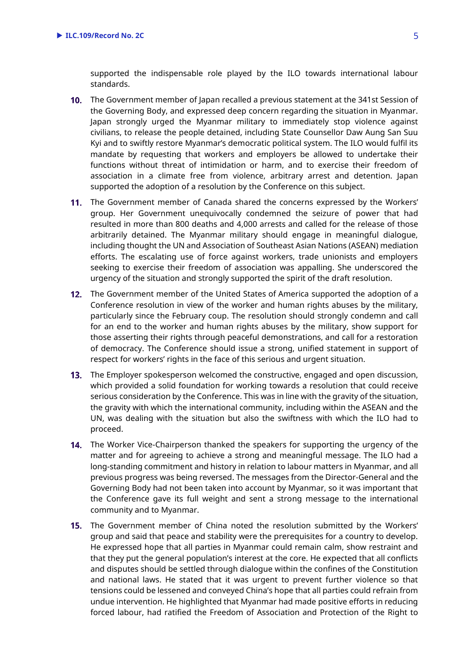supported the indispensable role played by the ILO towards international labour standards.

- 10. The Government member of Japan recalled a previous statement at the 341st Session of the Governing Body, and expressed deep concern regarding the situation in Myanmar. Japan strongly urged the Myanmar military to immediately stop violence against civilians, to release the people detained, including State Counsellor Daw Aung San Suu Kyi and to swiftly restore Myanmar's democratic political system. The ILO would fulfil its mandate by requesting that workers and employers be allowed to undertake their functions without threat of intimidation or harm, and to exercise their freedom of association in a climate free from violence, arbitrary arrest and detention. Japan supported the adoption of a resolution by the Conference on this subject.
- 11. The Government member of Canada shared the concerns expressed by the Workers' group. Her Government unequivocally condemned the seizure of power that had resulted in more than 800 deaths and 4,000 arrests and called for the release of those arbitrarily detained. The Myanmar military should engage in meaningful dialogue, including thought the UN and Association of Southeast Asian Nations (ASEAN) mediation efforts. The escalating use of force against workers, trade unionists and employers seeking to exercise their freedom of association was appalling. She underscored the urgency of the situation and strongly supported the spirit of the draft resolution.
- 12. The Government member of the United States of America supported the adoption of a Conference resolution in view of the worker and human rights abuses by the military, particularly since the February coup. The resolution should strongly condemn and call for an end to the worker and human rights abuses by the military, show support for those asserting their rights through peaceful demonstrations, and call for a restoration of democracy. The Conference should issue a strong, unified statement in support of respect for workers' rights in the face of this serious and urgent situation.
- **13.** The Employer spokesperson welcomed the constructive, engaged and open discussion, which provided a solid foundation for working towards a resolution that could receive serious consideration by the Conference. This was in line with the gravity of the situation, the gravity with which the international community, including within the ASEAN and the UN, was dealing with the situation but also the swiftness with which the ILO had to proceed.
- 14. The Worker Vice-Chairperson thanked the speakers for supporting the urgency of the matter and for agreeing to achieve a strong and meaningful message. The ILO had a long-standing commitment and history in relation to labour matters in Myanmar, and all previous progress was being reversed. The messages from the Director-General and the Governing Body had not been taken into account by Myanmar, so it was important that the Conference gave its full weight and sent a strong message to the international community and to Myanmar.
- **15.** The Government member of China noted the resolution submitted by the Workers' group and said that peace and stability were the prerequisites for a country to develop. He expressed hope that all parties in Myanmar could remain calm, show restraint and that they put the general population's interest at the core. He expected that all conflicts and disputes should be settled through dialogue within the confines of the Constitution and national laws. He stated that it was urgent to prevent further violence so that tensions could be lessened and conveyed China's hope that all parties could refrain from undue intervention. He highlighted that Myanmar had made positive efforts in reducing forced labour, had ratified the Freedom of Association and Protection of the Right to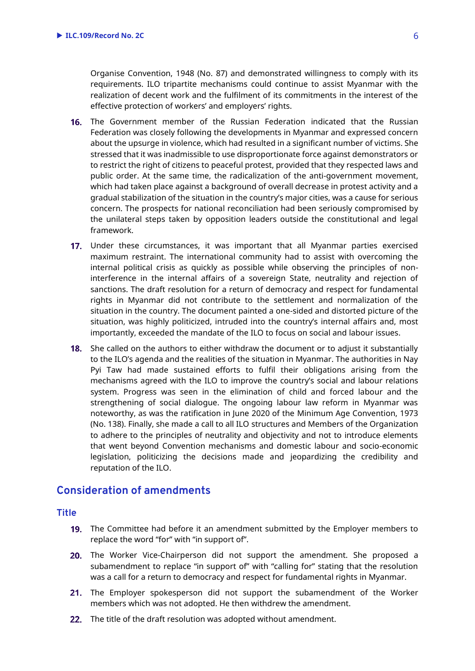Organise Convention, 1948 (No. 87) and demonstrated willingness to comply with its requirements. ILO tripartite mechanisms could continue to assist Myanmar with the realization of decent work and the fulfilment of its commitments in the interest of the effective protection of workers' and employers' rights.

- **16.** The Government member of the Russian Federation indicated that the Russian Federation was closely following the developments in Myanmar and expressed concern about the upsurge in violence, which had resulted in a significant number of victims. She stressed that it was inadmissible to use disproportionate force against demonstrators or to restrict the right of citizens to peaceful protest, provided that they respected laws and public order. At the same time, the radicalization of the anti-government movement, which had taken place against a background of overall decrease in protest activity and a gradual stabilization of the situation in the country's major cities, was a cause for serious concern. The prospects for national reconciliation had been seriously compromised by the unilateral steps taken by opposition leaders outside the constitutional and legal framework.
- 17. Under these circumstances, it was important that all Myanmar parties exercised maximum restraint. The international community had to assist with overcoming the internal political crisis as quickly as possible while observing the principles of noninterference in the internal affairs of a sovereign State, neutrality and rejection of sanctions. The draft resolution for a return of democracy and respect for fundamental rights in Myanmar did not contribute to the settlement and normalization of the situation in the country. The document painted a one-sided and distorted picture of the situation, was highly politicized, intruded into the country's internal affairs and, most importantly, exceeded the mandate of the ILO to focus on social and labour issues.
- **18.** She called on the authors to either withdraw the document or to adjust it substantially to the ILO's agenda and the realities of the situation in Myanmar. The authorities in Nay Pyi Taw had made sustained efforts to fulfil their obligations arising from the mechanisms agreed with the ILO to improve the country's social and labour relations system. Progress was seen in the elimination of child and forced labour and the strengthening of social dialogue. The ongoing labour law reform in Myanmar was noteworthy, as was the ratification in June 2020 of the Minimum Age Convention, 1973 (No. 138). Finally, she made a call to all ILO structures and Members of the Organization to adhere to the principles of neutrality and objectivity and not to introduce elements that went beyond Convention mechanisms and domestic labour and socio-economic legislation, politicizing the decisions made and jeopardizing the credibility and reputation of the ILO.

# <span id="page-4-0"></span>**Consideration of amendments**

# **Title**

- **19.** The Committee had before it an amendment submitted by the Employer members to replace the word "for" with "in support of".
- 20. The Worker Vice-Chairperson did not support the amendment. She proposed a subamendment to replace "in support of" with "calling for" stating that the resolution was a call for a return to democracy and respect for fundamental rights in Myanmar.
- 21. The Employer spokesperson did not support the subamendment of the Worker members which was not adopted. He then withdrew the amendment.
- 22. The title of the draft resolution was adopted without amendment.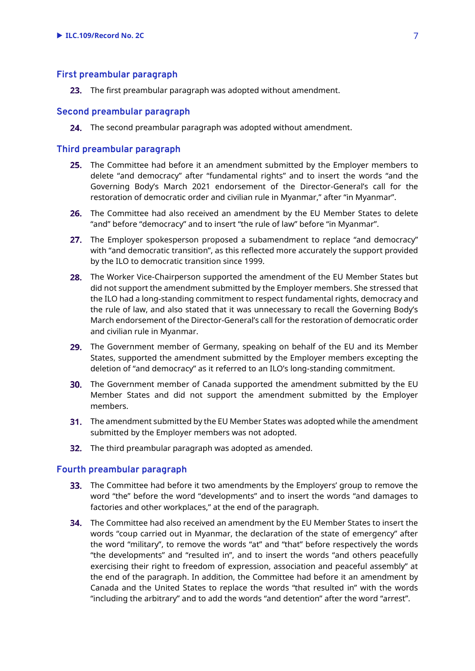#### **First preambular paragraph**

23. The first preambular paragraph was adopted without amendment.

#### **Second preambular paragraph**

24. The second preambular paragraph was adopted without amendment.

# **Third preambular paragraph**

- 25. The Committee had before it an amendment submitted by the Employer members to delete "and democracy" after "fundamental rights" and to insert the words "and the Governing Body's March 2021 endorsement of the Director-General's call for the restoration of democratic order and civilian rule in Myanmar," after "in Myanmar".
- 26. The Committee had also received an amendment by the EU Member States to delete "and" before "democracy" and to insert "the rule of law" before "in Myanmar".
- 27. The Employer spokesperson proposed a subamendment to replace "and democracy" with "and democratic transition", as this reflected more accurately the support provided by the ILO to democratic transition since 1999.
- 28. The Worker Vice-Chairperson supported the amendment of the EU Member States but did not support the amendment submitted by the Employer members. She stressed that the ILO had a long-standing commitment to respect fundamental rights, democracy and the rule of law, and also stated that it was unnecessary to recall the Governing Body's March endorsement of the Director-General's call for the restoration of democratic order and civilian rule in Myanmar.
- 29. The Government member of Germany, speaking on behalf of the EU and its Member States, supported the amendment submitted by the Employer members excepting the deletion of "and democracy" as it referred to an ILO's long-standing commitment.
- **30.** The Government member of Canada supported the amendment submitted by the EU Member States and did not support the amendment submitted by the Employer members.
- **31.** The amendment submitted by the EU Member States was adopted while the amendment submitted by the Employer members was not adopted.
- 32. The third preambular paragraph was adopted as amended.

#### **Fourth preambular paragraph**

- **33.** The Committee had before it two amendments by the Employers' group to remove the word "the" before the word "developments" and to insert the words "and damages to factories and other workplaces," at the end of the paragraph.
- **34.** The Committee had also received an amendment by the EU Member States to insert the words "coup carried out in Myanmar, the declaration of the state of emergency" after the word "military", to remove the words "at" and "that" before respectively the words "the developments" and "resulted in", and to insert the words "and others peacefully exercising their right to freedom of expression, association and peaceful assembly" at the end of the paragraph. In addition, the Committee had before it an amendment by Canada and the United States to replace the words "that resulted in" with the words "including the arbitrary" and to add the words "and detention" after the word "arrest".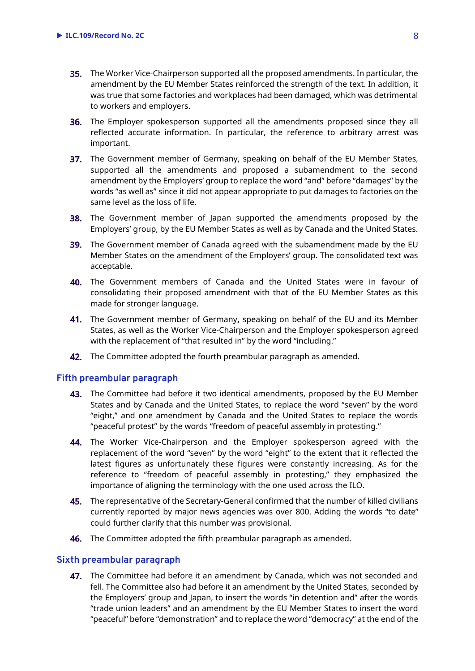- **35.** The Worker Vice-Chairperson supported all the proposed amendments. In particular, the amendment by the EU Member States reinforced the strength of the text. In addition, it was true that some factories and workplaces had been damaged, which was detrimental to workers and employers.
- **36.** The Employer spokesperson supported all the amendments proposed since they all reflected accurate information. In particular, the reference to arbitrary arrest was important.
- 37. The Government member of Germany, speaking on behalf of the EU Member States, supported all the amendments and proposed a subamendment to the second amendment by the Employers' group to replace the word "and" before "damages" by the words "as well as" since it did not appear appropriate to put damages to factories on the same level as the loss of life.
- **38.** The Government member of Japan supported the amendments proposed by the Employers' group, by the EU Member States as well as by Canada and the United States.
- **39.** The Government member of Canada agreed with the subamendment made by the EU Member States on the amendment of the Employers' group. The consolidated text was acceptable.
- The Government members of Canada and the United States were in favour of consolidating their proposed amendment with that of the EU Member States as this made for stronger language.
- The Government member of Germany**,** speaking on behalf of the EU and its Member States, as well as the Worker Vice-Chairperson and the Employer spokesperson agreed with the replacement of "that resulted in" by the word "including."
- 42. The Committee adopted the fourth preambular paragraph as amended.

#### **Fifth preambular paragraph**

- 43. The Committee had before it two identical amendments, proposed by the EU Member States and by Canada and the United States, to replace the word "seven" by the word "eight," and one amendment by Canada and the United States to replace the words "peaceful protest" by the words "freedom of peaceful assembly in protesting."
- 44. The Worker Vice-Chairperson and the Employer spokesperson agreed with the replacement of the word "seven" by the word "eight" to the extent that it reflected the latest figures as unfortunately these figures were constantly increasing. As for the reference to "freedom of peaceful assembly in protesting," they emphasized the importance of aligning the terminology with the one used across the ILO.
- 45. The representative of the Secretary-General confirmed that the number of killed civilians currently reported by major news agencies was over 800. Adding the words "to date" could further clarify that this number was provisional.
- **46.** The Committee adopted the fifth preambular paragraph as amended.

# **Sixth preambular paragraph**

47. The Committee had before it an amendment by Canada, which was not seconded and fell. The Committee also had before it an amendment by the United States, seconded by the Employers' group and Japan, to insert the words "in detention and" after the words "trade union leaders" and an amendment by the EU Member States to insert the word "peaceful" before "demonstration" and to replace the word "democracy" at the end of the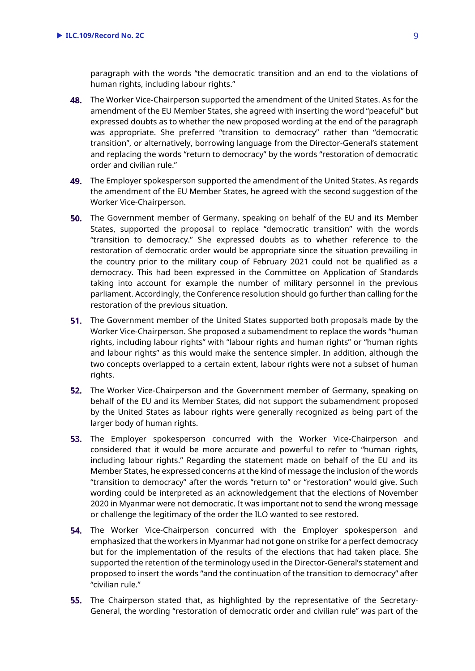paragraph with the words "the democratic transition and an end to the violations of human rights, including labour rights."

- 48. The Worker Vice-Chairperson supported the amendment of the United States. As for the amendment of the EU Member States, she agreed with inserting the word "peaceful" but expressed doubts as to whether the new proposed wording at the end of the paragraph was appropriate. She preferred "transition to democracy" rather than "democratic transition", or alternatively, borrowing language from the Director-General's statement and replacing the words "return to democracy" by the words "restoration of democratic order and civilian rule."
- 49. The Employer spokesperson supported the amendment of the United States. As regards the amendment of the EU Member States, he agreed with the second suggestion of the Worker Vice-Chairperson.
- 50. The Government member of Germany, speaking on behalf of the EU and its Member States, supported the proposal to replace "democratic transition" with the words "transition to democracy." She expressed doubts as to whether reference to the restoration of democratic order would be appropriate since the situation prevailing in the country prior to the military coup of February 2021 could not be qualified as a democracy. This had been expressed in the Committee on Application of Standards taking into account for example the number of military personnel in the previous parliament. Accordingly, the Conference resolution should go further than calling for the restoration of the previous situation.
- 51. The Government member of the United States supported both proposals made by the Worker Vice-Chairperson. She proposed a subamendment to replace the words "human rights, including labour rights" with "labour rights and human rights" or "human rights and labour rights" as this would make the sentence simpler. In addition, although the two concepts overlapped to a certain extent, labour rights were not a subset of human rights.
- 52. The Worker Vice-Chairperson and the Government member of Germany, speaking on behalf of the EU and its Member States, did not support the subamendment proposed by the United States as labour rights were generally recognized as being part of the larger body of human rights.
- 53. The Employer spokesperson concurred with the Worker Vice-Chairperson and considered that it would be more accurate and powerful to refer to "human rights, including labour rights." Regarding the statement made on behalf of the EU and its Member States, he expressed concerns at the kind of message the inclusion of the words "transition to democracy" after the words "return to" or "restoration" would give. Such wording could be interpreted as an acknowledgement that the elections of November 2020 in Myanmar were not democratic. It was important not to send the wrong message or challenge the legitimacy of the order the ILO wanted to see restored.
- **54.** The Worker Vice-Chairperson concurred with the Employer spokesperson and emphasized that the workers in Myanmar had not gone on strike for a perfect democracy but for the implementation of the results of the elections that had taken place. She supported the retention of the terminology used in the Director-General's statement and proposed to insert the words "and the continuation of the transition to democracy" after "civilian rule."
- **55.** The Chairperson stated that, as highlighted by the representative of the Secretary-General, the wording "restoration of democratic order and civilian rule" was part of the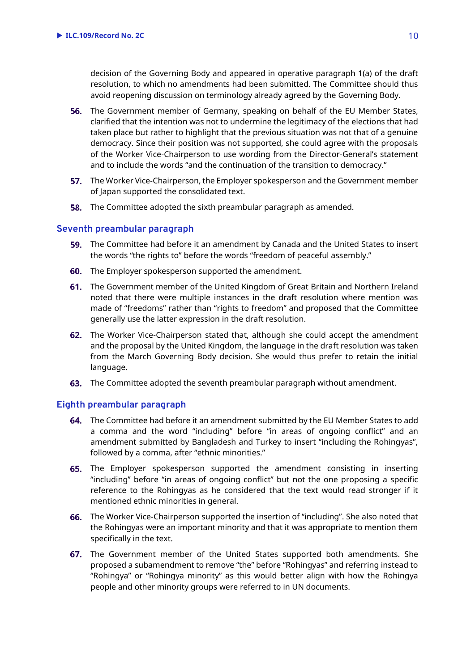decision of the Governing Body and appeared in operative paragraph 1(a) of the draft resolution, to which no amendments had been submitted. The Committee should thus avoid reopening discussion on terminology already agreed by the Governing Body.

- 56. The Government member of Germany, speaking on behalf of the EU Member States, clarified that the intention was not to undermine the legitimacy of the elections that had taken place but rather to highlight that the previous situation was not that of a genuine democracy. Since their position was not supported, she could agree with the proposals of the Worker Vice-Chairperson to use wording from the Director-General's statement and to include the words "and the continuation of the transition to democracy."
- **57.** The Worker Vice-Chairperson, the Employer spokesperson and the Government member of Japan supported the consolidated text.
- **58.** The Committee adopted the sixth preambular paragraph as amended.

# **Seventh preambular paragraph**

- 59. The Committee had before it an amendment by Canada and the United States to insert the words "the rights to" before the words "freedom of peaceful assembly."
- 60. The Employer spokesperson supported the amendment.
- 61. The Government member of the United Kingdom of Great Britain and Northern Ireland noted that there were multiple instances in the draft resolution where mention was made of "freedoms" rather than "rights to freedom" and proposed that the Committee generally use the latter expression in the draft resolution.
- 62. The Worker Vice-Chairperson stated that, although she could accept the amendment and the proposal by the United Kingdom, the language in the draft resolution was taken from the March Governing Body decision. She would thus prefer to retain the initial language.
- 63. The Committee adopted the seventh preambular paragraph without amendment.

# **Eighth preambular paragraph**

- 64. The Committee had before it an amendment submitted by the EU Member States to add a comma and the word "including" before "in areas of ongoing conflict" and an amendment submitted by Bangladesh and Turkey to insert "including the Rohingyas", followed by a comma, after "ethnic minorities."
- 65. The Employer spokesperson supported the amendment consisting in inserting "including" before "in areas of ongoing conflict" but not the one proposing a specific reference to the Rohingyas as he considered that the text would read stronger if it mentioned ethnic minorities in general.
- The Worker Vice-Chairperson supported the insertion of "including". She also noted that the Rohingyas were an important minority and that it was appropriate to mention them specifically in the text.
- 67. The Government member of the United States supported both amendments. She proposed a subamendment to remove "the" before "Rohingyas" and referring instead to "Rohingya" or "Rohingya minority" as this would better align with how the Rohingya people and other minority groups were referred to in UN documents.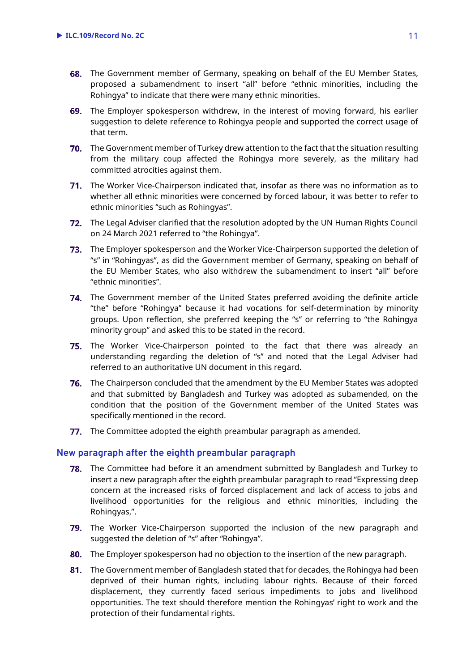- 68. The Government member of Germany, speaking on behalf of the EU Member States, proposed a subamendment to insert "all" before "ethnic minorities, including the Rohingya" to indicate that there were many ethnic minorities.
- The Employer spokesperson withdrew, in the interest of moving forward, his earlier suggestion to delete reference to Rohingya people and supported the correct usage of that term.
- The Government member of Turkey drew attention to the fact that the situation resulting from the military coup affected the Rohingya more severely, as the military had committed atrocities against them.
- The Worker Vice-Chairperson indicated that, insofar as there was no information as to whether all ethnic minorities were concerned by forced labour, it was better to refer to ethnic minorities "such as Rohingyas".
- The Legal Adviser clarified that the resolution adopted by the UN Human Rights Council on 24 March 2021 referred to "the Rohingya".
- The Employer spokesperson and the Worker Vice-Chairperson supported the deletion of "s" in "Rohingyas", as did the Government member of Germany, speaking on behalf of the EU Member States, who also withdrew the subamendment to insert "all" before "ethnic minorities".
- 74. The Government member of the United States preferred avoiding the definite article "the" before "Rohingya" because it had vocations for self-determination by minority groups. Upon reflection, she preferred keeping the "s" or referring to "the Rohingya minority group" and asked this to be stated in the record.
- The Worker Vice-Chairperson pointed to the fact that there was already an understanding regarding the deletion of "s" and noted that the Legal Adviser had referred to an authoritative UN document in this regard.
- The Chairperson concluded that the amendment by the EU Member States was adopted and that submitted by Bangladesh and Turkey was adopted as subamended, on the condition that the position of the Government member of the United States was specifically mentioned in the record.
- 77. The Committee adopted the eighth preambular paragraph as amended.

# **New paragraph after the eighth preambular paragraph**

- The Committee had before it an amendment submitted by Bangladesh and Turkey to insert a new paragraph after the eighth preambular paragraph to read "Expressing deep concern at the increased risks of forced displacement and lack of access to jobs and livelihood opportunities for the religious and ethnic minorities, including the Rohingyas,".
- 79. The Worker Vice-Chairperson supported the inclusion of the new paragraph and suggested the deletion of "s" after "Rohingya".
- The Employer spokesperson had no objection to the insertion of the new paragraph.
- 81. The Government member of Bangladesh stated that for decades, the Rohingya had been deprived of their human rights, including labour rights. Because of their forced displacement, they currently faced serious impediments to jobs and livelihood opportunities. The text should therefore mention the Rohingyas' right to work and the protection of their fundamental rights.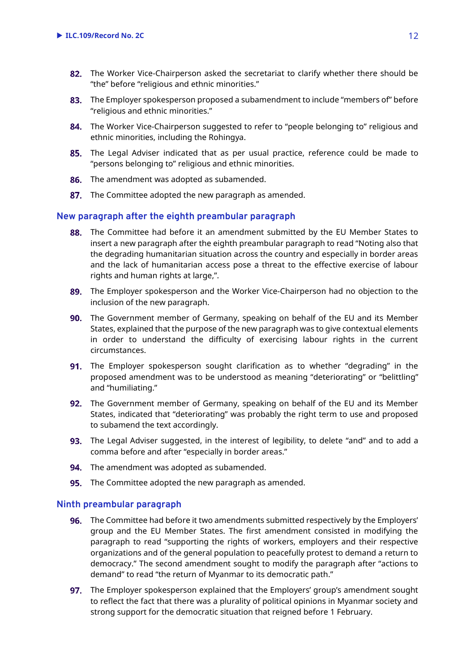- 82. The Worker Vice-Chairperson asked the secretariat to clarify whether there should be "the" before "religious and ethnic minorities."
- 83. The Employer spokesperson proposed a subamendment to include "members of" before "religious and ethnic minorities."
- 84. The Worker Vice-Chairperson suggested to refer to "people belonging to" religious and ethnic minorities, including the Rohingya.
- 85. The Legal Adviser indicated that as per usual practice, reference could be made to "persons belonging to" religious and ethnic minorities.
- 86. The amendment was adopted as subamended.
- 87. The Committee adopted the new paragraph as amended.

# **New paragraph after the eighth preambular paragraph**

- 88. The Committee had before it an amendment submitted by the EU Member States to insert a new paragraph after the eighth preambular paragraph to read "Noting also that the degrading humanitarian situation across the country and especially in border areas and the lack of humanitarian access pose a threat to the effective exercise of labour rights and human rights at large,".
- 89. The Employer spokesperson and the Worker Vice-Chairperson had no objection to the inclusion of the new paragraph.
- 90. The Government member of Germany, speaking on behalf of the EU and its Member States, explained that the purpose of the new paragraph was to give contextual elements in order to understand the difficulty of exercising labour rights in the current circumstances.
- **91.** The Employer spokesperson sought clarification as to whether "degrading" in the proposed amendment was to be understood as meaning "deteriorating" or "belittling" and "humiliating."
- 92. The Government member of Germany, speaking on behalf of the EU and its Member States, indicated that "deteriorating" was probably the right term to use and proposed to subamend the text accordingly.
- 93. The Legal Adviser suggested, in the interest of legibility, to delete "and" and to add a comma before and after "especially in border areas."
- **94.** The amendment was adopted as subamended.
- **95.** The Committee adopted the new paragraph as amended.

# **Ninth preambular paragraph**

- The Committee had before it two amendments submitted respectively by the Employers' group and the EU Member States. The first amendment consisted in modifying the paragraph to read "supporting the rights of workers, employers and their respective organizations and of the general population to peacefully protest to demand a return to democracy." The second amendment sought to modify the paragraph after "actions to demand" to read "the return of Myanmar to its democratic path."
- **97.** The Employer spokesperson explained that the Employers' group's amendment sought to reflect the fact that there was a plurality of political opinions in Myanmar society and strong support for the democratic situation that reigned before 1 February.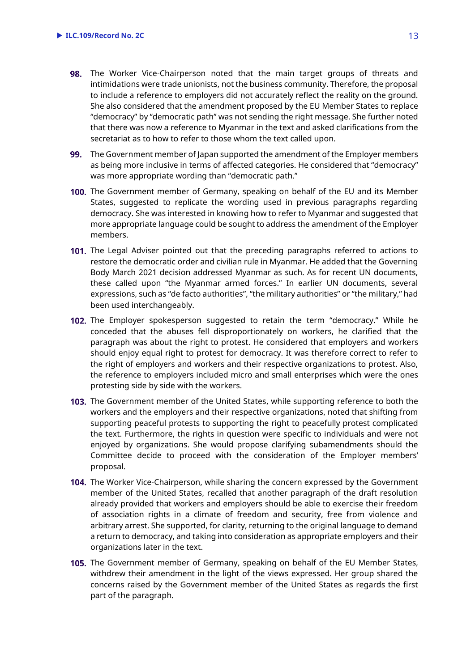- 98. The Worker Vice-Chairperson noted that the main target groups of threats and intimidations were trade unionists, not the business community. Therefore, the proposal to include a reference to employers did not accurately reflect the reality on the ground. She also considered that the amendment proposed by the EU Member States to replace "democracy" by "democratic path" was not sending the right message. She further noted that there was now a reference to Myanmar in the text and asked clarifications from the secretariat as to how to refer to those whom the text called upon.
- **99.** The Government member of Japan supported the amendment of the Employer members as being more inclusive in terms of affected categories. He considered that "democracy" was more appropriate wording than "democratic path."
- 100. The Government member of Germany, speaking on behalf of the EU and its Member States, suggested to replicate the wording used in previous paragraphs regarding democracy. She was interested in knowing how to refer to Myanmar and suggested that more appropriate language could be sought to address the amendment of the Employer members.
- 101. The Legal Adviser pointed out that the preceding paragraphs referred to actions to restore the democratic order and civilian rule in Myanmar. He added that the Governing Body March 2021 decision addressed Myanmar as such. As for recent UN documents, these called upon "the Myanmar armed forces." In earlier UN documents, several expressions, such as "de facto authorities", "the military authorities" or "the military," had been used interchangeably.
- 102. The Employer spokesperson suggested to retain the term "democracy." While he conceded that the abuses fell disproportionately on workers, he clarified that the paragraph was about the right to protest. He considered that employers and workers should enjoy equal right to protest for democracy. It was therefore correct to refer to the right of employers and workers and their respective organizations to protest. Also, the reference to employers included micro and small enterprises which were the ones protesting side by side with the workers.
- **103.** The Government member of the United States, while supporting reference to both the workers and the employers and their respective organizations, noted that shifting from supporting peaceful protests to supporting the right to peacefully protest complicated the text. Furthermore, the rights in question were specific to individuals and were not enjoyed by organizations. She would propose clarifying subamendments should the Committee decide to proceed with the consideration of the Employer members' proposal.
- **104.** The Worker Vice-Chairperson, while sharing the concern expressed by the Government member of the United States, recalled that another paragraph of the draft resolution already provided that workers and employers should be able to exercise their freedom of association rights in a climate of freedom and security, free from violence and arbitrary arrest. She supported, for clarity, returning to the original language to demand a return to democracy, and taking into consideration as appropriate employers and their organizations later in the text.
- 105. The Government member of Germany, speaking on behalf of the EU Member States, withdrew their amendment in the light of the views expressed. Her group shared the concerns raised by the Government member of the United States as regards the first part of the paragraph.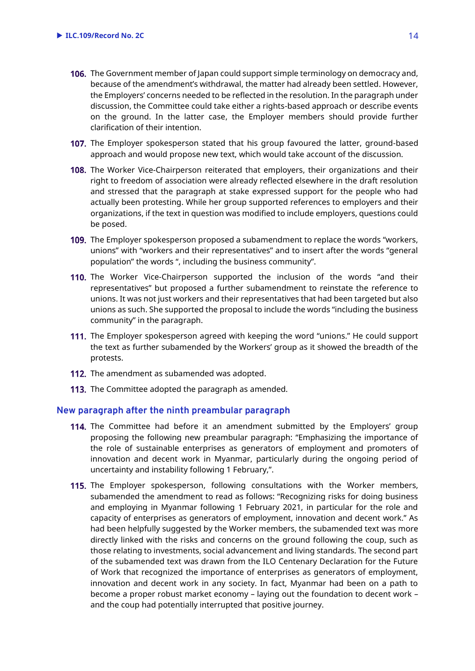- 106. The Government member of Japan could support simple terminology on democracy and, because of the amendment's withdrawal, the matter had already been settled. However, the Employers' concerns needed to be reflected in the resolution. In the paragraph under discussion, the Committee could take either a rights-based approach or describe events on the ground. In the latter case, the Employer members should provide further clarification of their intention.
- 107. The Employer spokesperson stated that his group favoured the latter, ground-based approach and would propose new text, which would take account of the discussion.
- 108. The Worker Vice-Chairperson reiterated that employers, their organizations and their right to freedom of association were already reflected elsewhere in the draft resolution and stressed that the paragraph at stake expressed support for the people who had actually been protesting. While her group supported references to employers and their organizations, if the text in question was modified to include employers, questions could be posed.
- 109. The Employer spokesperson proposed a subamendment to replace the words "workers, unions" with "workers and their representatives" and to insert after the words "general population" the words ", including the business community".
- **110.** The Worker Vice-Chairperson supported the inclusion of the words "and their representatives" but proposed a further subamendment to reinstate the reference to unions. It was not just workers and their representatives that had been targeted but also unions as such. She supported the proposal to include the words "including the business community" in the paragraph.
- 111. The Employer spokesperson agreed with keeping the word "unions." He could support the text as further subamended by the Workers' group as it showed the breadth of the protests.
- 112. The amendment as subamended was adopted.
- 113. The Committee adopted the paragraph as amended.

#### **New paragraph after the ninth preambular paragraph**

- **114.** The Committee had before it an amendment submitted by the Employers' group proposing the following new preambular paragraph: "Emphasizing the importance of the role of sustainable enterprises as generators of employment and promoters of innovation and decent work in Myanmar, particularly during the ongoing period of uncertainty and instability following 1 February,".
- **115.** The Employer spokesperson, following consultations with the Worker members, subamended the amendment to read as follows: "Recognizing risks for doing business and employing in Myanmar following 1 February 2021, in particular for the role and capacity of enterprises as generators of employment, innovation and decent work." As had been helpfully suggested by the Worker members, the subamended text was more directly linked with the risks and concerns on the ground following the coup, such as those relating to investments, social advancement and living standards. The second part of the subamended text was drawn from the ILO Centenary Declaration for the Future of Work that recognized the importance of enterprises as generators of employment, innovation and decent work in any society. In fact, Myanmar had been on a path to become a proper robust market economy – laying out the foundation to decent work – and the coup had potentially interrupted that positive journey.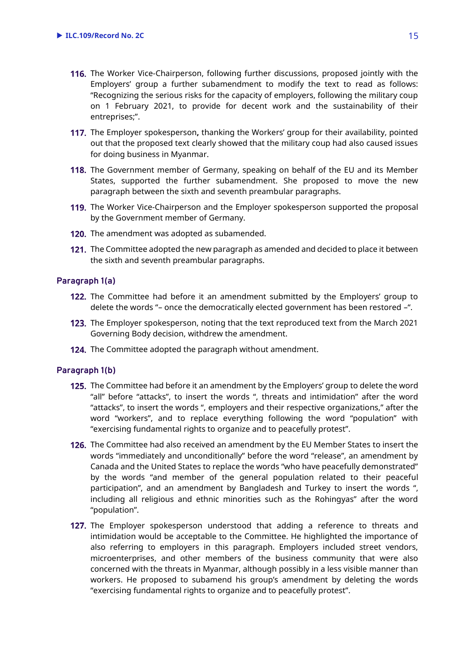- 116. The Worker Vice-Chairperson, following further discussions, proposed jointly with the Employers' group a further subamendment to modify the text to read as follows: "Recognizing the serious risks for the capacity of employers, following the military coup on 1 February 2021, to provide for decent work and the sustainability of their entreprises;".
- The Employer spokesperson**,** thanking the Workers' group for their availability, pointed out that the proposed text clearly showed that the military coup had also caused issues for doing business in Myanmar.
- 118. The Government member of Germany, speaking on behalf of the EU and its Member States, supported the further subamendment. She proposed to move the new paragraph between the sixth and seventh preambular paragraphs.
- **119.** The Worker Vice-Chairperson and the Employer spokesperson supported the proposal by the Government member of Germany.
- 120. The amendment was adopted as subamended.
- 121. The Committee adopted the new paragraph as amended and decided to place it between the sixth and seventh preambular paragraphs.

# **Paragraph 1(a)**

- 122. The Committee had before it an amendment submitted by the Employers' group to delete the words "– once the democratically elected government has been restored –".
- 123. The Employer spokesperson, noting that the text reproduced text from the March 2021 Governing Body decision, withdrew the amendment.
- 124. The Committee adopted the paragraph without amendment.

# **Paragraph 1(b)**

- 125. The Committee had before it an amendment by the Employers' group to delete the word "all" before "attacks", to insert the words ", threats and intimidation" after the word "attacks", to insert the words ", employers and their respective organizations," after the word "workers", and to replace everything following the word "population" with "exercising fundamental rights to organize and to peacefully protest".
- The Committee had also received an amendment by the EU Member States to insert the words "immediately and unconditionally" before the word "release", an amendment by Canada and the United States to replace the words "who have peacefully demonstrated" by the words "and member of the general population related to their peaceful participation", and an amendment by Bangladesh and Turkey to insert the words ", including all religious and ethnic minorities such as the Rohingyas" after the word "population".
- 127. The Employer spokesperson understood that adding a reference to threats and intimidation would be acceptable to the Committee. He highlighted the importance of also referring to employers in this paragraph. Employers included street vendors, microenterprises, and other members of the business community that were also concerned with the threats in Myanmar, although possibly in a less visible manner than workers. He proposed to subamend his group's amendment by deleting the words "exercising fundamental rights to organize and to peacefully protest".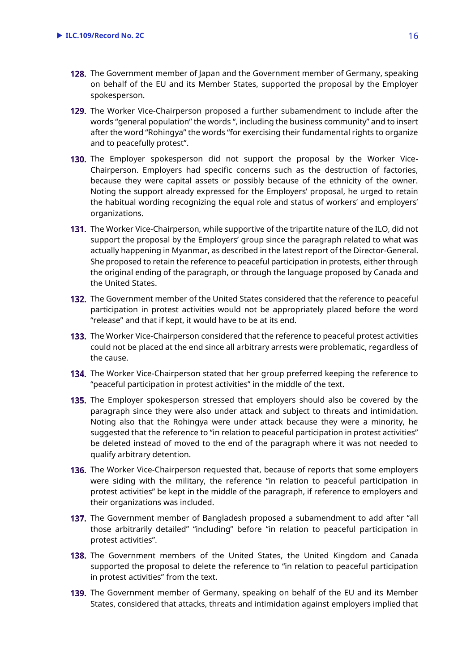- 128. The Government member of Japan and the Government member of Germany, speaking on behalf of the EU and its Member States, supported the proposal by the Employer spokesperson.
- 129. The Worker Vice-Chairperson proposed a further subamendment to include after the words "general population" the words ", including the business community" and to insert after the word "Rohingya" the words "for exercising their fundamental rights to organize and to peacefully protest".
- 130. The Employer spokesperson did not support the proposal by the Worker Vice-Chairperson. Employers had specific concerns such as the destruction of factories, because they were capital assets or possibly because of the ethnicity of the owner. Noting the support already expressed for the Employers' proposal, he urged to retain the habitual wording recognizing the equal role and status of workers' and employers' organizations.
- 131. The Worker Vice-Chairperson, while supportive of the tripartite nature of the ILO, did not support the proposal by the Employers' group since the paragraph related to what was actually happening in Myanmar, as described in the latest report of the Director-General. She proposed to retain the reference to peaceful participation in protests, either through the original ending of the paragraph, or through the language proposed by Canada and the United States.
- 132. The Government member of the United States considered that the reference to peaceful participation in protest activities would not be appropriately placed before the word "release" and that if kept, it would have to be at its end.
- **133.** The Worker Vice-Chairperson considered that the reference to peaceful protest activities could not be placed at the end since all arbitrary arrests were problematic, regardless of the cause.
- **134.** The Worker Vice-Chairperson stated that her group preferred keeping the reference to "peaceful participation in protest activities" in the middle of the text.
- **135.** The Employer spokesperson stressed that employers should also be covered by the paragraph since they were also under attack and subject to threats and intimidation. Noting also that the Rohingya were under attack because they were a minority, he suggested that the reference to "in relation to peaceful participation in protest activities" be deleted instead of moved to the end of the paragraph where it was not needed to qualify arbitrary detention.
- **136.** The Worker Vice-Chairperson requested that, because of reports that some employers were siding with the military, the reference "in relation to peaceful participation in protest activities" be kept in the middle of the paragraph, if reference to employers and their organizations was included.
- 137. The Government member of Bangladesh proposed a subamendment to add after "all those arbitrarily detailed" "including" before "in relation to peaceful participation in protest activities".
- **138.** The Government members of the United States, the United Kingdom and Canada supported the proposal to delete the reference to "in relation to peaceful participation in protest activities" from the text.
- 139. The Government member of Germany, speaking on behalf of the EU and its Member States, considered that attacks, threats and intimidation against employers implied that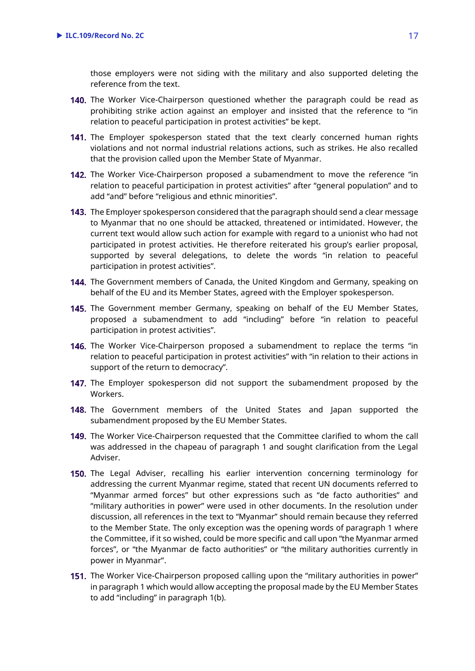those employers were not siding with the military and also supported deleting the reference from the text.

- 140. The Worker Vice-Chairperson questioned whether the paragraph could be read as prohibiting strike action against an employer and insisted that the reference to "in relation to peaceful participation in protest activities" be kept.
- 141. The Employer spokesperson stated that the text clearly concerned human rights violations and not normal industrial relations actions, such as strikes. He also recalled that the provision called upon the Member State of Myanmar.
- 142. The Worker Vice-Chairperson proposed a subamendment to move the reference "in relation to peaceful participation in protest activities" after "general population" and to add "and" before "religious and ethnic minorities".
- **143.** The Employer spokesperson considered that the paragraph should send a clear message to Myanmar that no one should be attacked, threatened or intimidated. However, the current text would allow such action for example with regard to a unionist who had not participated in protest activities. He therefore reiterated his group's earlier proposal, supported by several delegations, to delete the words "in relation to peaceful participation in protest activities".
- 144. The Government members of Canada, the United Kingdom and Germany, speaking on behalf of the EU and its Member States, agreed with the Employer spokesperson.
- 145. The Government member Germany, speaking on behalf of the EU Member States, proposed a subamendment to add "including" before "in relation to peaceful participation in protest activities".
- 146. The Worker Vice-Chairperson proposed a subamendment to replace the terms "in relation to peaceful participation in protest activities" with "in relation to their actions in support of the return to democracy".
- 147. The Employer spokesperson did not support the subamendment proposed by the Workers.
- 148. The Government members of the United States and Japan supported the subamendment proposed by the EU Member States.
- 149. The Worker Vice-Chairperson requested that the Committee clarified to whom the call was addressed in the chapeau of paragraph 1 and sought clarification from the Legal Adviser.
- 150. The Legal Adviser, recalling his earlier intervention concerning terminology for addressing the current Myanmar regime, stated that recent UN documents referred to "Myanmar armed forces" but other expressions such as "de facto authorities" and "military authorities in power" were used in other documents. In the resolution under discussion, all references in the text to "Myanmar" should remain because they referred to the Member State. The only exception was the opening words of paragraph 1 where the Committee, if it so wished, could be more specific and call upon "the Myanmar armed forces", or "the Myanmar de facto authorities" or "the military authorities currently in power in Myanmar".
- **151.** The Worker Vice-Chairperson proposed calling upon the "military authorities in power" in paragraph 1 which would allow accepting the proposal made by the EU Member States to add "including" in paragraph 1(b).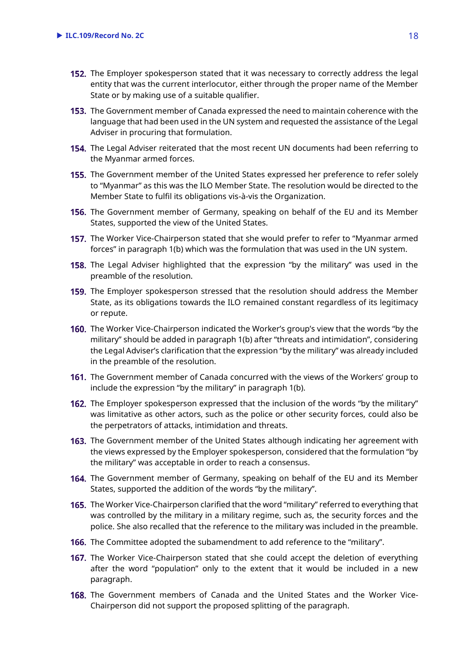- 152. The Employer spokesperson stated that it was necessary to correctly address the legal entity that was the current interlocutor, either through the proper name of the Member State or by making use of a suitable qualifier.
- **153.** The Government member of Canada expressed the need to maintain coherence with the language that had been used in the UN system and requested the assistance of the Legal Adviser in procuring that formulation.
- 154. The Legal Adviser reiterated that the most recent UN documents had been referring to the Myanmar armed forces.
- The Government member of the United States expressed her preference to refer solely to "Myanmar" as this was the ILO Member State. The resolution would be directed to the Member State to fulfil its obligations vis-à-vis the Organization.
- **156.** The Government member of Germany, speaking on behalf of the EU and its Member States, supported the view of the United States.
- **157.** The Worker Vice-Chairperson stated that she would prefer to refer to "Myanmar armed forces" in paragraph 1(b) which was the formulation that was used in the UN system.
- **158.** The Legal Adviser highlighted that the expression "by the military" was used in the preamble of the resolution.
- 159. The Employer spokesperson stressed that the resolution should address the Member State, as its obligations towards the ILO remained constant regardless of its legitimacy or repute.
- The Worker Vice-Chairperson indicated the Worker's group's view that the words "by the military" should be added in paragraph 1(b) after "threats and intimidation", considering the Legal Adviser's clarification that the expression "by the military" was already included in the preamble of the resolution.
- **161.** The Government member of Canada concurred with the views of the Workers' group to include the expression "by the military" in paragraph 1(b).
- **162.** The Employer spokesperson expressed that the inclusion of the words "by the military" was limitative as other actors, such as the police or other security forces, could also be the perpetrators of attacks, intimidation and threats.
- 163. The Government member of the United States although indicating her agreement with the views expressed by the Employer spokesperson, considered that the formulation "by the military" was acceptable in order to reach a consensus.
- 164. The Government member of Germany, speaking on behalf of the EU and its Member States, supported the addition of the words "by the military".
- The Worker Vice-Chairperson clarified that the word "military" referred to everything that was controlled by the military in a military regime, such as, the security forces and the police. She also recalled that the reference to the military was included in the preamble.
- The Committee adopted the subamendment to add reference to the "military".
- **167.** The Worker Vice-Chairperson stated that she could accept the deletion of everything after the word "population" only to the extent that it would be included in a new paragraph.
- **168.** The Government members of Canada and the United States and the Worker Vice-Chairperson did not support the proposed splitting of the paragraph.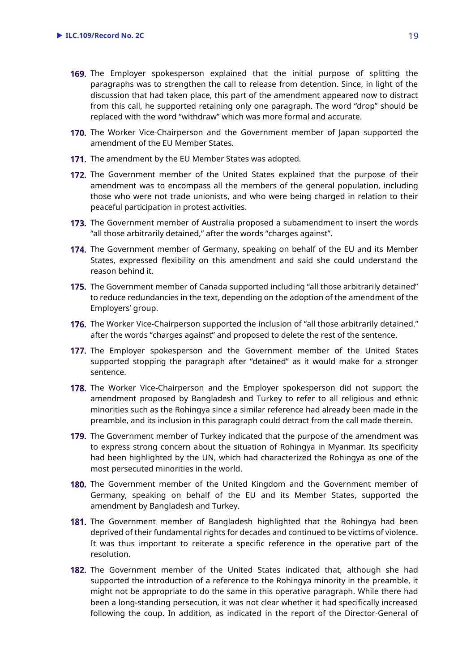- 169. The Employer spokesperson explained that the initial purpose of splitting the paragraphs was to strengthen the call to release from detention. Since, in light of the discussion that had taken place, this part of the amendment appeared now to distract from this call, he supported retaining only one paragraph. The word "drop" should be replaced with the word "withdraw" which was more formal and accurate.
- **170.** The Worker Vice-Chairperson and the Government member of Japan supported the amendment of the EU Member States.
- 171. The amendment by the EU Member States was adopted.
- **172.** The Government member of the United States explained that the purpose of their amendment was to encompass all the members of the general population, including those who were not trade unionists, and who were being charged in relation to their peaceful participation in protest activities.
- **173.** The Government member of Australia proposed a subamendment to insert the words "all those arbitrarily detained," after the words "charges against".
- 174. The Government member of Germany, speaking on behalf of the EU and its Member States, expressed flexibility on this amendment and said she could understand the reason behind it.
- 175. The Government member of Canada supported including "all those arbitrarily detained" to reduce redundancies in the text, depending on the adoption of the amendment of the Employers' group.
- 176. The Worker Vice-Chairperson supported the inclusion of "all those arbitrarily detained." after the words "charges against" and proposed to delete the rest of the sentence.
- 177. The Employer spokesperson and the Government member of the United States supported stopping the paragraph after "detained" as it would make for a stronger sentence.
- 178. The Worker Vice-Chairperson and the Employer spokesperson did not support the amendment proposed by Bangladesh and Turkey to refer to all religious and ethnic minorities such as the Rohingya since a similar reference had already been made in the preamble, and its inclusion in this paragraph could detract from the call made therein.
- 179. The Government member of Turkey indicated that the purpose of the amendment was to express strong concern about the situation of Rohingya in Myanmar. Its specificity had been highlighted by the UN, which had characterized the Rohingya as one of the most persecuted minorities in the world.
- The Government member of the United Kingdom and the Government member of Germany, speaking on behalf of the EU and its Member States, supported the amendment by Bangladesh and Turkey.
- 181. The Government member of Bangladesh highlighted that the Rohingya had been deprived of their fundamental rights for decades and continued to be victims of violence. It was thus important to reiterate a specific reference in the operative part of the resolution.
- **182.** The Government member of the United States indicated that, although she had supported the introduction of a reference to the Rohingya minority in the preamble, it might not be appropriate to do the same in this operative paragraph. While there had been a long-standing persecution, it was not clear whether it had specifically increased following the coup. In addition, as indicated in the report of the Director-General of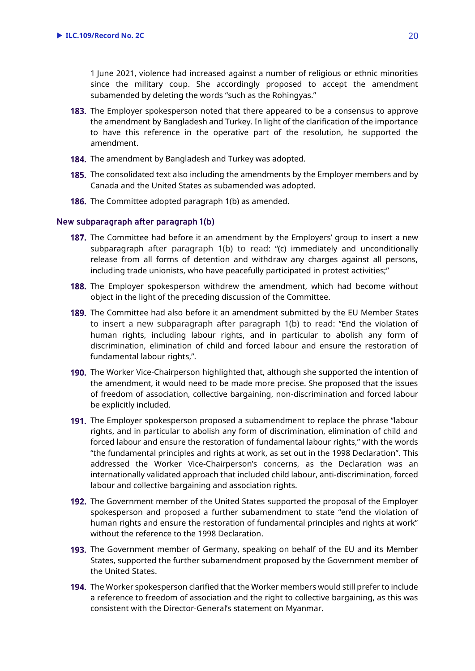1 June 2021, violence had increased against a number of religious or ethnic minorities since the military coup. She accordingly proposed to accept the amendment subamended by deleting the words "such as the Rohingyas."

- **183.** The Employer spokesperson noted that there appeared to be a consensus to approve the amendment by Bangladesh and Turkey. In light of the clarification of the importance to have this reference in the operative part of the resolution, he supported the amendment.
- 184. The amendment by Bangladesh and Turkey was adopted.
- **185.** The consolidated text also including the amendments by the Employer members and by Canada and the United States as subamended was adopted.
- **186.** The Committee adopted paragraph 1(b) as amended.

#### **New subparagraph after paragraph 1(b)**

- **187.** The Committee had before it an amendment by the Employers' group to insert a new subparagraph after paragraph 1(b) to read: "(c) immediately and unconditionally release from all forms of detention and withdraw any charges against all persons, including trade unionists, who have peacefully participated in protest activities;"
- **188.** The Employer spokesperson withdrew the amendment, which had become without object in the light of the preceding discussion of the Committee.
- **189.** The Committee had also before it an amendment submitted by the EU Member States to insert a new subparagraph after paragraph 1(b) to read: "End the violation of human rights, including labour rights, and in particular to abolish any form of discrimination, elimination of child and forced labour and ensure the restoration of fundamental labour rights,".
- 190. The Worker Vice-Chairperson highlighted that, although she supported the intention of the amendment, it would need to be made more precise. She proposed that the issues of freedom of association, collective bargaining, non-discrimination and forced labour be explicitly included.
- **191.** The Employer spokesperson proposed a subamendment to replace the phrase "labour rights, and in particular to abolish any form of discrimination, elimination of child and forced labour and ensure the restoration of fundamental labour rights," with the words "the fundamental principles and rights at work, as set out in the 1998 Declaration". This addressed the Worker Vice-Chairperson's concerns, as the Declaration was an internationally validated approach that included child labour, anti-discrimination, forced labour and collective bargaining and association rights.
- **192.** The Government member of the United States supported the proposal of the Employer spokesperson and proposed a further subamendment to state "end the violation of human rights and ensure the restoration of fundamental principles and rights at work" without the reference to the 1998 Declaration.
- 193. The Government member of Germany, speaking on behalf of the EU and its Member States, supported the further subamendment proposed by the Government member of the United States.
- The Worker spokesperson clarified that the Worker members would still prefer to include a reference to freedom of association and the right to collective bargaining, as this was consistent with the Director-General's statement on Myanmar.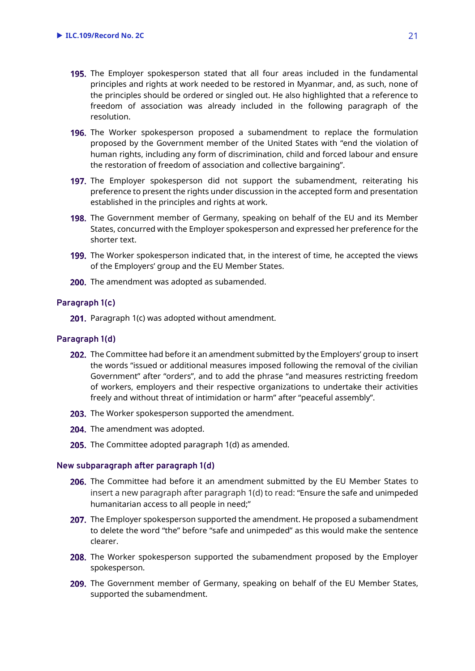- 195. The Employer spokesperson stated that all four areas included in the fundamental principles and rights at work needed to be restored in Myanmar, and, as such, none of the principles should be ordered or singled out. He also highlighted that a reference to freedom of association was already included in the following paragraph of the resolution.
- **196.** The Worker spokesperson proposed a subamendment to replace the formulation proposed by the Government member of the United States with "end the violation of human rights, including any form of discrimination, child and forced labour and ensure the restoration of freedom of association and collective bargaining".
- **197.** The Employer spokesperson did not support the subamendment, reiterating his preference to present the rights under discussion in the accepted form and presentation established in the principles and rights at work.
- 198. The Government member of Germany, speaking on behalf of the EU and its Member States, concurred with the Employer spokesperson and expressed her preference for the shorter text.
- 199. The Worker spokesperson indicated that, in the interest of time, he accepted the views of the Employers' group and the EU Member States.
- 200. The amendment was adopted as subamended.

# **Paragraph 1(c)**

201. Paragraph 1(c) was adopted without amendment.

#### **Paragraph 1(d)**

- 202. The Committee had before it an amendment submitted by the Employers' group to insert the words "issued or additional measures imposed following the removal of the civilian Government" after "orders", and to add the phrase "and measures restricting freedom of workers, employers and their respective organizations to undertake their activities freely and without threat of intimidation or harm" after "peaceful assembly".
- 203. The Worker spokesperson supported the amendment.
- 204. The amendment was adopted.
- **205.** The Committee adopted paragraph  $1(d)$  as amended.

#### **New subparagraph after paragraph 1(d)**

- 206. The Committee had before it an amendment submitted by the EU Member States to insert a new paragraph after paragraph 1(d) to read: "Ensure the safe and unimpeded humanitarian access to all people in need;"
- 207. The Employer spokesperson supported the amendment. He proposed a subamendment to delete the word "the" before "safe and unimpeded" as this would make the sentence clearer.
- 208. The Worker spokesperson supported the subamendment proposed by the Employer spokesperson.
- 209. The Government member of Germany, speaking on behalf of the EU Member States, supported the subamendment.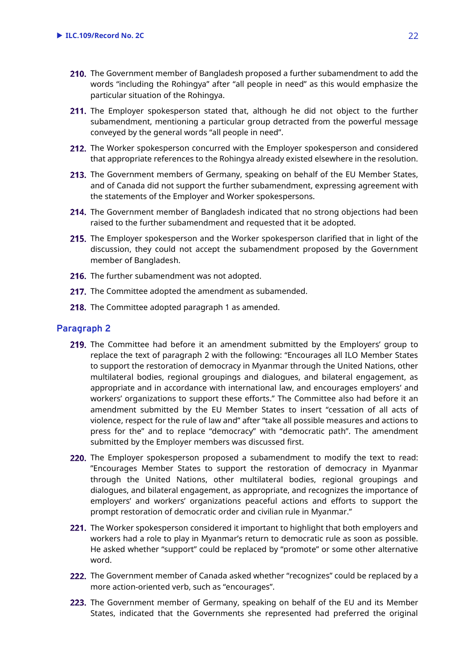- 210. The Government member of Bangladesh proposed a further subamendment to add the words "including the Rohingya" after "all people in need" as this would emphasize the particular situation of the Rohingya.
- 211. The Employer spokesperson stated that, although he did not object to the further subamendment, mentioning a particular group detracted from the powerful message conveyed by the general words "all people in need".
- 212. The Worker spokesperson concurred with the Employer spokesperson and considered that appropriate references to the Rohingya already existed elsewhere in the resolution.
- 213. The Government members of Germany, speaking on behalf of the EU Member States, and of Canada did not support the further subamendment, expressing agreement with the statements of the Employer and Worker spokespersons.
- **214.** The Government member of Bangladesh indicated that no strong objections had been raised to the further subamendment and requested that it be adopted.
- 215. The Employer spokesperson and the Worker spokesperson clarified that in light of the discussion, they could not accept the subamendment proposed by the Government member of Bangladesh.
- 216. The further subamendment was not adopted.
- 217. The Committee adopted the amendment as subamended.
- 218. The Committee adopted paragraph 1 as amended.

# **Paragraph 2**

- 219. The Committee had before it an amendment submitted by the Employers' group to replace the text of paragraph 2 with the following: "Encourages all ILO Member States to support the restoration of democracy in Myanmar through the United Nations, other multilateral bodies, regional groupings and dialogues, and bilateral engagement, as appropriate and in accordance with international law, and encourages employers' and workers' organizations to support these efforts." The Committee also had before it an amendment submitted by the EU Member States to insert "cessation of all acts of violence, respect for the rule of law and" after "take all possible measures and actions to press for the" and to replace "democracy" with "democratic path". The amendment submitted by the Employer members was discussed first.
- 220. The Employer spokesperson proposed a subamendment to modify the text to read: "Encourages Member States to support the restoration of democracy in Myanmar through the United Nations, other multilateral bodies, regional groupings and dialogues, and bilateral engagement, as appropriate, and recognizes the importance of employers' and workers' organizations peaceful actions and efforts to support the prompt restoration of democratic order and civilian rule in Myanmar."
- **221.** The Worker spokesperson considered it important to highlight that both employers and workers had a role to play in Myanmar's return to democratic rule as soon as possible. He asked whether "support" could be replaced by "promote" or some other alternative word.
- 222. The Government member of Canada asked whether "recognizes" could be replaced by a more action-oriented verb, such as "encourages".
- 223. The Government member of Germany, speaking on behalf of the EU and its Member States, indicated that the Governments she represented had preferred the original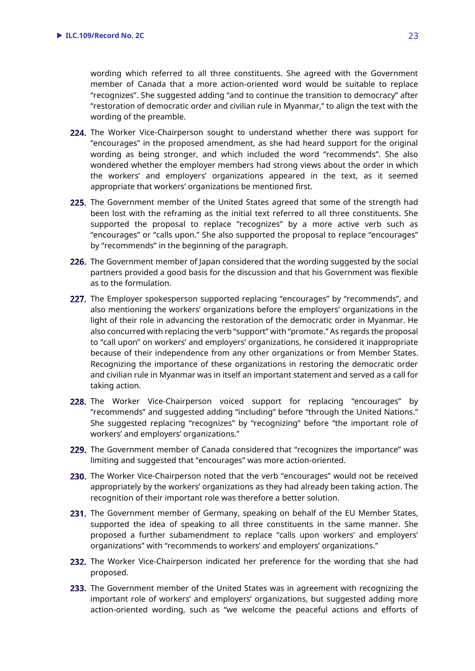wording which referred to all three constituents. She agreed with the Government member of Canada that a more action-oriented word would be suitable to replace "recognizes". She suggested adding "and to continue the transition to democracy" after "restoration of democratic order and civilian rule in Myanmar," to align the text with the wording of the preamble.

- 224. The Worker Vice-Chairperson sought to understand whether there was support for "encourages" in the proposed amendment, as she had heard support for the original wording as being stronger, and which included the word "recommends". She also wondered whether the employer members had strong views about the order in which the workers' and employers' organizations appeared in the text, as it seemed appropriate that workers' organizations be mentioned first.
- 225. The Government member of the United States agreed that some of the strength had been lost with the reframing as the initial text referred to all three constituents. She supported the proposal to replace "recognizes" by a more active verb such as "encourages" or "calls upon." She also supported the proposal to replace "encourages" by "recommends" in the beginning of the paragraph.
- 226. The Government member of Japan considered that the wording suggested by the social partners provided a good basis for the discussion and that his Government was flexible as to the formulation.
- 227. The Employer spokesperson supported replacing "encourages" by "recommends", and also mentioning the workers' organizations before the employers' organizations in the light of their role in advancing the restoration of the democratic order in Myanmar. He also concurred with replacing the verb "support" with "promote." As regards the proposal to "call upon" on workers' and employers' organizations, he considered it inappropriate because of their independence from any other organizations or from Member States. Recognizing the importance of these organizations in restoring the democratic order and civilian rule in Myanmar was in itself an important statement and served as a call for taking action.
- 228. The Worker Vice-Chairperson voiced support for replacing "encourages" by "recommends" and suggested adding "including" before "through the United Nations." She suggested replacing "recognizes" by "recognizing" before "the important role of workers' and employers' organizations."
- 229. The Government member of Canada considered that "recognizes the importance" was limiting and suggested that "encourages" was more action-oriented.
- 230. The Worker Vice-Chairperson noted that the verb "encourages" would not be received appropriately by the workers' organizations as they had already been taking action. The recognition of their important role was therefore a better solution.
- 231. The Government member of Germany, speaking on behalf of the EU Member States, supported the idea of speaking to all three constituents in the same manner. She proposed a further subamendment to replace "calls upon workers' and employers' organizations" with "recommends to workers' and employers' organizations."
- 232. The Worker Vice-Chairperson indicated her preference for the wording that she had proposed.
- 233. The Government member of the United States was in agreement with recognizing the important role of workers' and employers' organizations, but suggested adding more action-oriented wording, such as "we welcome the peaceful actions and efforts of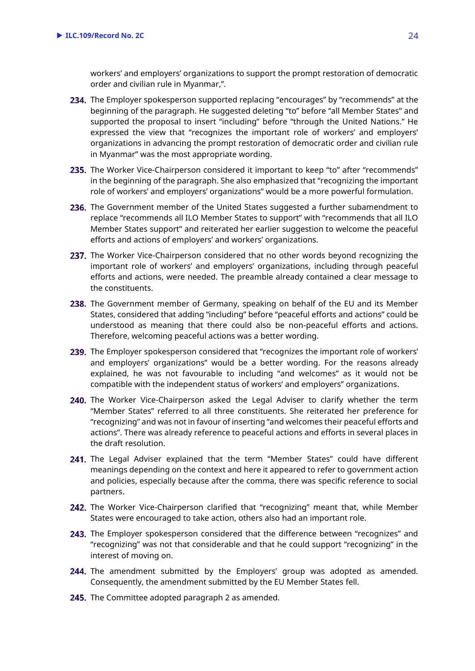workers' and employers' organizations to support the prompt restoration of democratic order and civilian rule in Myanmar,".

- 234. The Employer spokesperson supported replacing "encourages" by "recommends" at the beginning of the paragraph. He suggested deleting "to" before "all Member States" and supported the proposal to insert "including" before "through the United Nations." He expressed the view that "recognizes the important role of workers' and employers' organizations in advancing the prompt restoration of democratic order and civilian rule in Myanmar" was the most appropriate wording.
- 235. The Worker Vice-Chairperson considered it important to keep "to" after "recommends" in the beginning of the paragraph. She also emphasized that "recognizing the important role of workers' and employers' organizations" would be a more powerful formulation.
- 236. The Government member of the United States suggested a further subamendment to replace "recommends all ILO Member States to support" with "recommends that all ILO Member States support" and reiterated her earlier suggestion to welcome the peaceful efforts and actions of employers' and workers' organizations.
- 237. The Worker Vice-Chairperson considered that no other words beyond recognizing the important role of workers' and employers' organizations, including through peaceful efforts and actions, were needed. The preamble already contained a clear message to the constituents.
- 238. The Government member of Germany, speaking on behalf of the EU and its Member States, considered that adding "including" before "peaceful efforts and actions" could be understood as meaning that there could also be non-peaceful efforts and actions. Therefore, welcoming peaceful actions was a better wording.
- 239. The Employer spokesperson considered that "recognizes the important role of workers' and employers' organizations" would be a better wording. For the reasons already explained, he was not favourable to including "and welcomes" as it would not be compatible with the independent status of workers' and employers'' organizations.
- 240. The Worker Vice-Chairperson asked the Legal Adviser to clarify whether the term "Member States" referred to all three constituents. She reiterated her preference for "recognizing" and was not in favour of inserting "and welcomes their peaceful efforts and actions". There was already reference to peaceful actions and efforts in several places in the draft resolution.
- 241. The Legal Adviser explained that the term "Member States" could have different meanings depending on the context and here it appeared to refer to government action and policies, especially because after the comma, there was specific reference to social partners.
- 242. The Worker Vice-Chairperson clarified that "recognizing" meant that, while Member States were encouraged to take action, others also had an important role.
- 243. The Employer spokesperson considered that the difference between "recognizes" and "recognizing" was not that considerable and that he could support "recognizing" in the interest of moving on.
- 244. The amendment submitted by the Employers' group was adopted as amended. Consequently, the amendment submitted by the EU Member States fell.
- 245. The Committee adopted paragraph 2 as amended.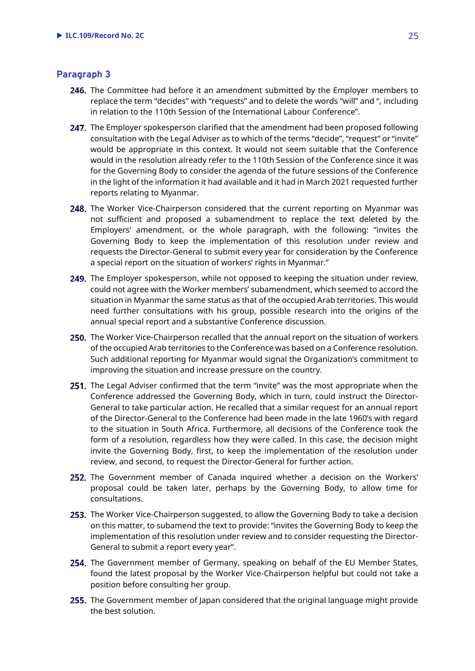# **Paragraph 3**

- 246. The Committee had before it an amendment submitted by the Employer members to replace the term "decides" with "requests" and to delete the words "will" and ", including in relation to the 110th Session of the International Labour Conference".
- 247. The Employer spokesperson clarified that the amendment had been proposed following consultation with the Legal Adviser as to which of the terms "decide", "request" or "invite" would be appropriate in this context. It would not seem suitable that the Conference would in the resolution already refer to the 110th Session of the Conference since it was for the Governing Body to consider the agenda of the future sessions of the Conference in the light of the information it had available and it had in March 2021 requested further reports relating to Myanmar.
- 248. The Worker Vice-Chairperson considered that the current reporting on Myanmar was not sufficient and proposed a subamendment to replace the text deleted by the Employers' amendment, or the whole paragraph, with the following: "invites the Governing Body to keep the implementation of this resolution under review and requests the Director-General to submit every year for consideration by the Conference a special report on the situation of workers' rights in Myanmar."
- 249. The Employer spokesperson, while not opposed to keeping the situation under review, could not agree with the Worker members' subamendment, which seemed to accord the situation in Myanmar the same status as that of the occupied Arab territories. This would need further consultations with his group, possible research into the origins of the annual special report and a substantive Conference discussion.
- 250. The Worker Vice-Chairperson recalled that the annual report on the situation of workers of the occupied Arab territories to the Conference was based on a Conference resolution. Such additional reporting for Myanmar would signal the Organization's commitment to improving the situation and increase pressure on the country.
- 251. The Legal Adviser confirmed that the term "invite" was the most appropriate when the Conference addressed the Governing Body, which in turn, could instruct the Director-General to take particular action. He recalled that a similar request for an annual report of the Director-General to the Conference had been made in the late 1960's with regard to the situation in South Africa. Furthermore, all decisions of the Conference took the form of a resolution, regardless how they were called. In this case, the decision might invite the Governing Body, first, to keep the implementation of the resolution under review, and second, to request the Director-General for further action.
- 252. The Government member of Canada inquired whether a decision on the Workers' proposal could be taken later, perhaps by the Governing Body, to allow time for consultations.
- 253. The Worker Vice-Chairperson suggested, to allow the Governing Body to take a decision on this matter, to subamend the text to provide: "invites the Governing Body to keep the implementation of this resolution under review and to consider requesting the Director-General to submit a report every year".
- 254. The Government member of Germany, speaking on behalf of the EU Member States, found the latest proposal by the Worker Vice-Chairperson helpful but could not take a position before consulting her group.
- **255.** The Government member of Japan considered that the original language might provide the best solution.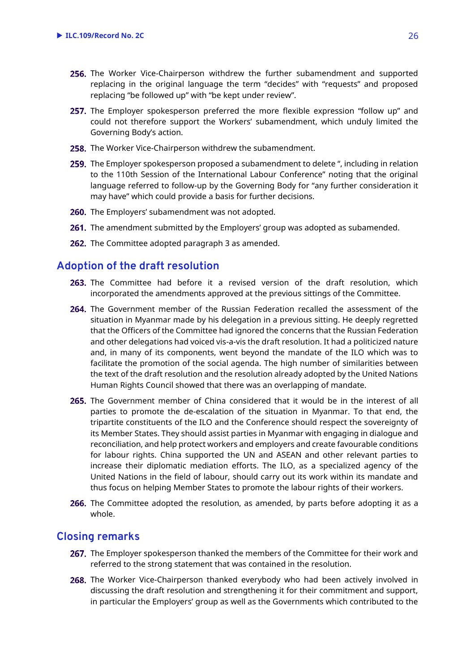- 256. The Worker Vice-Chairperson withdrew the further subamendment and supported replacing in the original language the term "decides" with "requests" and proposed replacing "be followed up" with "be kept under review".
- 257. The Employer spokesperson preferred the more flexible expression "follow up" and could not therefore support the Workers' subamendment, which unduly limited the Governing Body's action.
- 258. The Worker Vice-Chairperson withdrew the subamendment.
- 259. The Employer spokesperson proposed a subamendment to delete ", including in relation to the 110th Session of the International Labour Conference" noting that the original language referred to follow-up by the Governing Body for "any further consideration it may have" which could provide a basis for further decisions.
- **260.** The Employers' subamendment was not adopted.
- 261. The amendment submitted by the Employers' group was adopted as subamended.
- 262. The Committee adopted paragraph 3 as amended.

# <span id="page-24-0"></span>**Adoption of the draft resolution**

- 263. The Committee had before it a revised version of the draft resolution, which incorporated the amendments approved at the previous sittings of the Committee.
- 264. The Government member of the Russian Federation recalled the assessment of the situation in Myanmar made by his delegation in a previous sitting. He deeply regretted that the Officers of the Committee had ignored the concerns that the Russian Federation and other delegations had voiced vis-a-vis the draft resolution. It had a politicized nature and, in many of its components, went beyond the mandate of the ILO which was to facilitate the promotion of the social agenda. The high number of similarities between the text of the draft resolution and the resolution already adopted by the United Nations Human Rights Council showed that there was an overlapping of mandate.
- 265. The Government member of China considered that it would be in the interest of all parties to promote the de-escalation of the situation in Myanmar. To that end, the tripartite constituents of the ILO and the Conference should respect the sovereignty of its Member States. They should assist parties in Myanmar with engaging in dialogue and reconciliation, and help protect workers and employers and create favourable conditions for labour rights. China supported the UN and ASEAN and other relevant parties to increase their diplomatic mediation efforts. The ILO, as a specialized agency of the United Nations in the field of labour, should carry out its work within its mandate and thus focus on helping Member States to promote the labour rights of their workers.
- 266. The Committee adopted the resolution, as amended, by parts before adopting it as a whole.

# <span id="page-24-1"></span>**Closing remarks**

- 267. The Employer spokesperson thanked the members of the Committee for their work and referred to the strong statement that was contained in the resolution.
- 268. The Worker Vice-Chairperson thanked everybody who had been actively involved in discussing the draft resolution and strengthening it for their commitment and support, in particular the Employers' group as well as the Governments which contributed to the